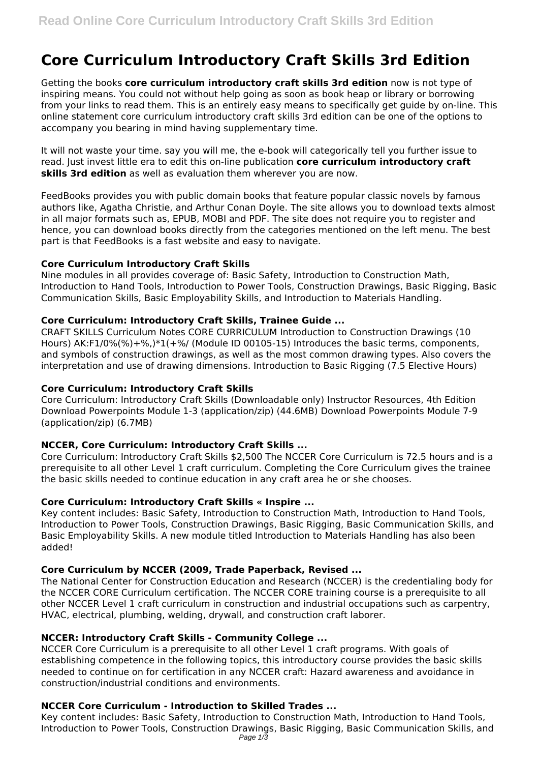# **Core Curriculum Introductory Craft Skills 3rd Edition**

Getting the books **core curriculum introductory craft skills 3rd edition** now is not type of inspiring means. You could not without help going as soon as book heap or library or borrowing from your links to read them. This is an entirely easy means to specifically get guide by on-line. This online statement core curriculum introductory craft skills 3rd edition can be one of the options to accompany you bearing in mind having supplementary time.

It will not waste your time. say you will me, the e-book will categorically tell you further issue to read. Just invest little era to edit this on-line publication **core curriculum introductory craft skills 3rd edition** as well as evaluation them wherever you are now.

FeedBooks provides you with public domain books that feature popular classic novels by famous authors like, Agatha Christie, and Arthur Conan Doyle. The site allows you to download texts almost in all major formats such as, EPUB, MOBI and PDF. The site does not require you to register and hence, you can download books directly from the categories mentioned on the left menu. The best part is that FeedBooks is a fast website and easy to navigate.

## **Core Curriculum Introductory Craft Skills**

Nine modules in all provides coverage of: Basic Safety, Introduction to Construction Math, Introduction to Hand Tools, Introduction to Power Tools, Construction Drawings, Basic Rigging, Basic Communication Skills, Basic Employability Skills, and Introduction to Materials Handling.

#### **Core Curriculum: Introductory Craft Skills, Trainee Guide ...**

CRAFT SKILLS Curriculum Notes CORE CURRICULUM Introduction to Construction Drawings (10 Hours) AK:F1/0%(%)+%,)\*1(+%/ (Module ID 00105-15) Introduces the basic terms, components, and symbols of construction drawings, as well as the most common drawing types. Also covers the interpretation and use of drawing dimensions. Introduction to Basic Rigging (7.5 Elective Hours)

#### **Core Curriculum: Introductory Craft Skills**

Core Curriculum: Introductory Craft Skills (Downloadable only) Instructor Resources, 4th Edition Download Powerpoints Module 1-3 (application/zip) (44.6MB) Download Powerpoints Module 7-9 (application/zip) (6.7MB)

## **NCCER, Core Curriculum: Introductory Craft Skills ...**

Core Curriculum: Introductory Craft Skills \$2,500 The NCCER Core Curriculum is 72.5 hours and is a prerequisite to all other Level 1 craft curriculum. Completing the Core Curriculum gives the trainee the basic skills needed to continue education in any craft area he or she chooses.

## **Core Curriculum: Introductory Craft Skills « Inspire ...**

Key content includes: Basic Safety, Introduction to Construction Math, Introduction to Hand Tools, Introduction to Power Tools, Construction Drawings, Basic Rigging, Basic Communication Skills, and Basic Employability Skills. A new module titled Introduction to Materials Handling has also been added!

#### **Core Curriculum by NCCER (2009, Trade Paperback, Revised ...**

The National Center for Construction Education and Research (NCCER) is the credentialing body for the NCCER CORE Curriculum certification. The NCCER CORE training course is a prerequisite to all other NCCER Level 1 craft curriculum in construction and industrial occupations such as carpentry, HVAC, electrical, plumbing, welding, drywall, and construction craft laborer.

#### **NCCER: Introductory Craft Skills - Community College ...**

NCCER Core Curriculum is a prerequisite to all other Level 1 craft programs. With goals of establishing competence in the following topics, this introductory course provides the basic skills needed to continue on for certification in any NCCER craft: Hazard awareness and avoidance in construction/industrial conditions and environments.

## **NCCER Core Curriculum - Introduction to Skilled Trades ...**

Key content includes: Basic Safety, Introduction to Construction Math, Introduction to Hand Tools, Introduction to Power Tools, Construction Drawings, Basic Rigging, Basic Communication Skills, and Page 1/3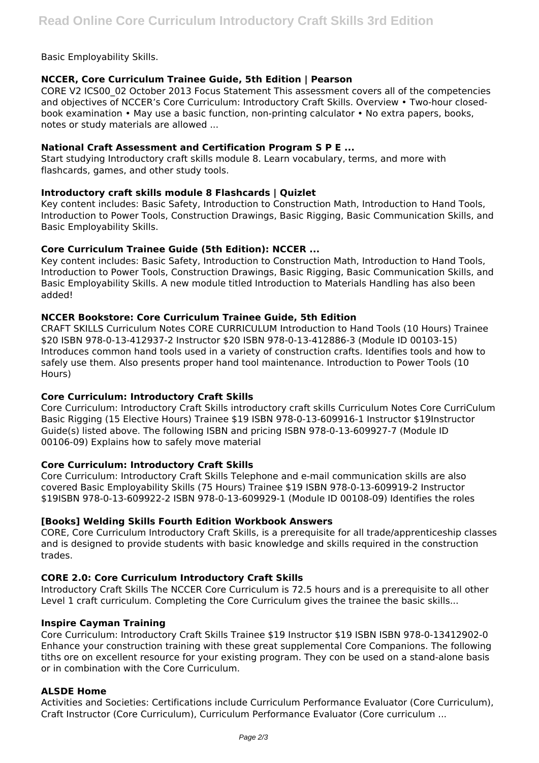Basic Employability Skills.

# **NCCER, Core Curriculum Trainee Guide, 5th Edition | Pearson**

CORE V2 ICS00\_02 October 2013 Focus Statement This assessment covers all of the competencies and objectives of NCCER's Core Curriculum: Introductory Craft Skills. Overview • Two-hour closedbook examination • May use a basic function, non-printing calculator • No extra papers, books, notes or study materials are allowed ...

## **National Craft Assessment and Certification Program S P E ...**

Start studying Introductory craft skills module 8. Learn vocabulary, terms, and more with flashcards, games, and other study tools.

## **Introductory craft skills module 8 Flashcards | Quizlet**

Key content includes: Basic Safety, Introduction to Construction Math, Introduction to Hand Tools, Introduction to Power Tools, Construction Drawings, Basic Rigging, Basic Communication Skills, and Basic Employability Skills.

## **Core Curriculum Trainee Guide (5th Edition): NCCER ...**

Key content includes: Basic Safety, Introduction to Construction Math, Introduction to Hand Tools, Introduction to Power Tools, Construction Drawings, Basic Rigging, Basic Communication Skills, and Basic Employability Skills. A new module titled Introduction to Materials Handling has also been added!

#### **NCCER Bookstore: Core Curriculum Trainee Guide, 5th Edition**

CRAFT SKILLS Curriculum Notes CORE CURRICULUM Introduction to Hand Tools (10 Hours) Trainee \$20 ISBN 978-0-13-412937-2 Instructor \$20 ISBN 978-0-13-412886-3 (Module ID 00103-15) Introduces common hand tools used in a variety of construction crafts. Identifies tools and how to safely use them. Also presents proper hand tool maintenance. Introduction to Power Tools (10 Hours)

## **Core Curriculum: Introductory Craft Skills**

Core Curriculum: Introductory Craft Skills introductory craft skills Curriculum Notes Core CurriCulum Basic Rigging (15 Elective Hours) Trainee \$19 ISBN 978-0-13-609916-1 Instructor \$19Instructor Guide(s) listed above. The following ISBN and pricing ISBN 978-0-13-609927-7 (Module ID 00106-09) Explains how to safely move material

## **Core Curriculum: Introductory Craft Skills**

Core Curriculum: Introductory Craft Skills Telephone and e-mail communication skills are also covered Basic Employability Skills (75 Hours) Trainee \$19 ISBN 978-0-13-609919-2 Instructor \$19ISBN 978-0-13-609922-2 ISBN 978-0-13-609929-1 (Module ID 00108-09) Identifies the roles

## **[Books] Welding Skills Fourth Edition Workbook Answers**

CORE, Core Curriculum Introductory Craft Skills, is a prerequisite for all trade/apprenticeship classes and is designed to provide students with basic knowledge and skills required in the construction trades.

## **CORE 2.0: Core Curriculum Introductory Craft Skills**

Introductory Craft Skills The NCCER Core Curriculum is 72.5 hours and is a prerequisite to all other Level 1 craft curriculum. Completing the Core Curriculum gives the trainee the basic skills...

#### **Inspire Cayman Training**

Core Curriculum: Introductory Craft Skills Trainee \$19 Instructor \$19 ISBN ISBN 978-0-13412902-0 Enhance your construction training with these great supplemental Core Companions. The following tiths ore on excellent resource for your existing program. They con be used on a stand-alone basis or in combination with the Core Curriculum.

## **ALSDE Home**

Activities and Societies: Certifications include Curriculum Performance Evaluator (Core Curriculum), Craft Instructor (Core Curriculum), Curriculum Performance Evaluator (Core curriculum ...